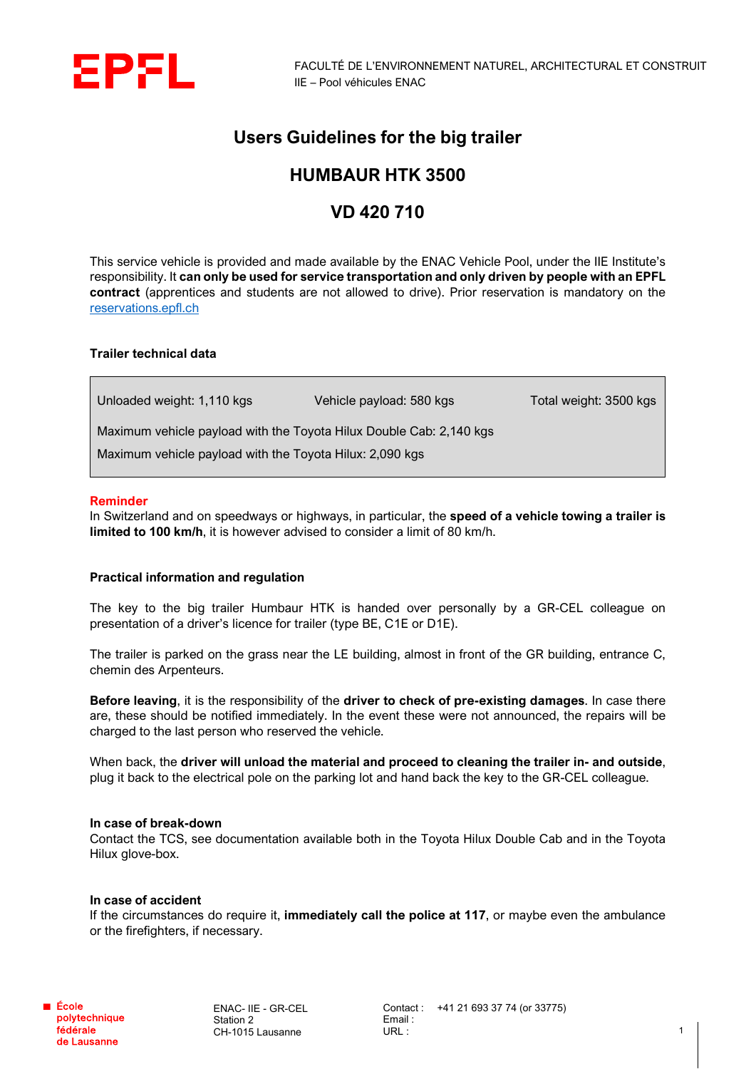

## **Users Guidelines for the big trailer**

# **HUMBAUR HTK 3500**

## **VD 420 710**

This service vehicle is provided and made available by the ENAC Vehicle Pool, under the IIE Institute's responsibility. It **can only be used for service transportation and only driven by people with an EPFL contract** (apprentices and students are not allowed to drive). Prior reservation is mandatory on the [reservations.epfl.ch](http://reservations.epfl.ch/cgi-bin/res)

### **Trailer technical data**

Unloaded weight: 1,110 kgs Vehicle payload: 580 kgs Total weight: 3500 kgs Maximum vehicle payload with the Toyota Hilux Double Cab: 2,140 kgs Maximum vehicle payload with the Toyota Hilux: 2,090 kgs

#### **Reminder**

In Switzerland and on speedways or highways, in particular, the **speed of a vehicle towing a trailer is limited to 100 km/h**, it is however advised to consider a limit of 80 km/h.

### **Practical information and regulation**

The key to the big trailer Humbaur HTK is handed over personally by a GR-CEL colleague on presentation of a driver's licence for trailer (type BE, C1E or D1E).

The trailer is parked on the grass near the LE building, almost in front of the GR building, entrance C, chemin des Arpenteurs.

**Before leaving**, it is the responsibility of the **driver to check of pre-existing damages**. In case there are, these should be notified immediately. In the event these were not announced, the repairs will be charged to the last person who reserved the vehicle.

When back, the **driver will unload the material and proceed to cleaning the trailer in- and outside**, plug it back to the electrical pole on the parking lot and hand back the key to the GR-CEL colleague.

#### **In case of break-down**

Contact the TCS, see documentation available both in the Toyota Hilux Double Cab and in the Toyota Hilux glove-box.

#### **In case of accident**

If the circumstances do require it, **immediately call the police at 117**, or maybe even the ambulance or the firefighters, if necessary.

ENAC- IIE - GR-CEL Station 2 CH-1015 Lausanne

Contact : +41 21 693 37 74 (or 33775) Email : URL :